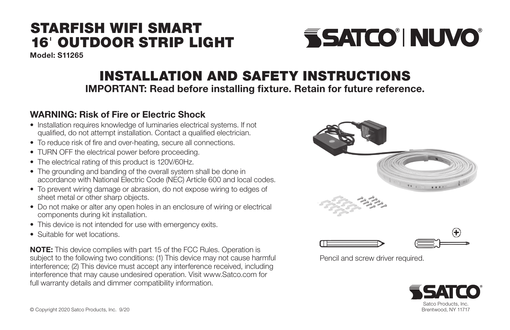## STARFISH WIFI SMART 16' OUTDOOR STRIP LIGHT

Model: S11265

# **SSATCO' NUVO**

## INSTALLATION AND SAFETY INSTRUCTIONS

IMPORTANT: Read before installing fixture. Retain for future reference.

### WARNING: Risk of Fire or Electric Shock

- Installation requires knowledge of luminaries electrical systems. If not qualified, do not attempt installation. Contact a qualified electrician.
- To reduce risk of fire and over-heating, secure all connections.
- TURN OFF the electrical power before proceeding.
- The electrical rating of this product is 120V/60Hz.
- The grounding and banding of the overall system shall be done in accordance with National Electric Code (NEC) Article 600 and local codes.
- To prevent wiring damage or abrasion, do not expose wiring to edges of sheet metal or other sharp objects.
- Do not make or alter any open holes in an enclosure of wiring or electrical components during kit installation.
- This device is not intended for use with emergency exits.
- Suitable for wet locations.

NOTE: This device complies with part 15 of the FCC Rules. Operation is subject to the following two conditions: (1) This device may not cause harmful interference; (2) This device must accept any interference received, including interference that may cause undesired operation. Visit www.Satco.com for full warranty details and dimmer compatibility information.



Pencil and screw driver required.